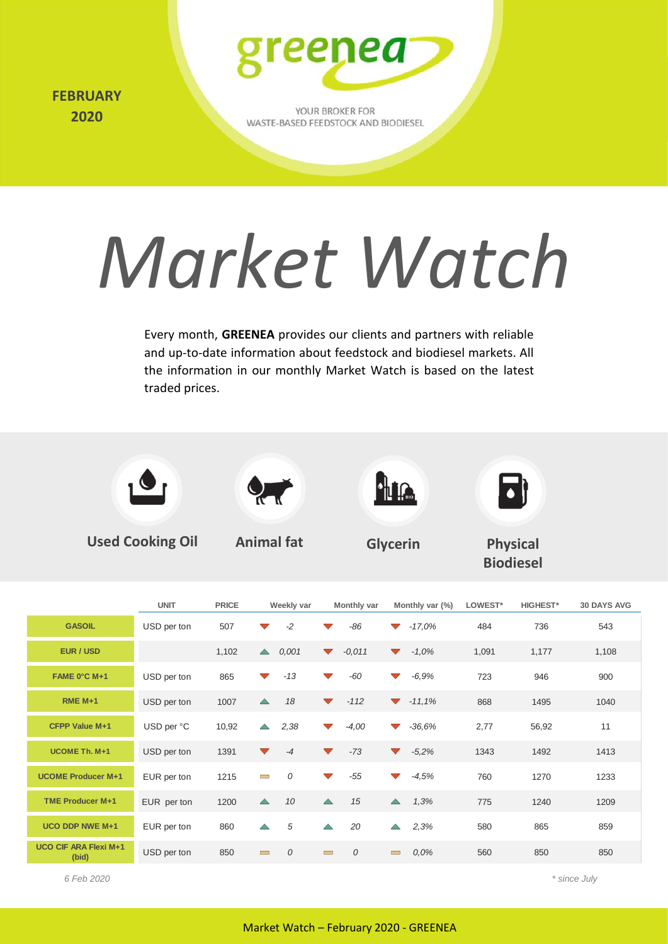**APRIL FEBRUARY 2019 2020**



YOUR BROKER FOR WASTE-BASED FEEDSTOCK AND BIODIESEL

# *Market Watch*

Every month, **GREENEA** provides our clients and partners with reliable and up-to-date information about feedstock and biodiesel markets. All the information in our monthly Market Watch is based on the latest traded prices.



**Used Cooking Oil Animal fat Glycerin Physical** 



**Biodiesel**

**d** 

|                                       | <b>UNIT</b> | <b>PRICE</b> | Weekly var                                  | Monthly var                      | Monthly var (%)                  | LOWEST* | <b>HIGHEST*</b> | <b>30 DAYS AVG</b> |
|---------------------------------------|-------------|--------------|---------------------------------------------|----------------------------------|----------------------------------|---------|-----------------|--------------------|
| <b>GASOIL</b>                         | USD per ton | 507          | $-2$<br>$\blacktriangledown$                | -86                              | $-17,0%$<br>$\blacktriangledown$ | 484     | 736             | 543                |
| EUR / USD                             |             | 1,102        | 0,001<br>$\blacktriangle$                   | $-0,011$<br>$\blacktriangledown$ | $-1,0%$<br>$\blacktriangledown$  | 1,091   | 1,177           | 1,108              |
| FAME 0°C M+1                          | USD per ton | 865          | $-13$<br>$\blacktriangledown$               | -60<br>$\blacktriangledown$      | $-6,9%$<br>$\blacktriangledown$  | 723     | 946             | 900                |
| $RME M+1$                             | USD per ton | 1007         | 18<br>$\blacktriangle$                      | $-112$<br>$\blacktriangledown$   | $-11,1\%$                        | 868     | 1495            | 1040               |
| CFPP Value M+1                        | USD per °C  | 10,92        | 2,38<br>$\triangle$                         | $-4,00$<br>$\blacktriangledown$  | $-36,6%$<br>$\blacktriangledown$ | 2,77    | 56,92           | 11                 |
| UCOME Th. M+1                         | USD per ton | 1391         | $-4$<br>$\blacktriangledown$                | $-73$<br>$\blacktriangledown$    | $-5,2%$<br>$\blacktriangledown$  | 1343    | 1492            | 1413               |
| <b>UCOME Producer M+1</b>             | EUR per ton | 1215         | 0<br>$\sim$                                 | $-55$<br>$\blacktriangledown$    | $-4,5%$<br>$\blacktriangledown$  | 760     | 1270            | 1233               |
| <b>TME Producer M+1</b>               | EUR per ton | 1200         | 10<br>$\triangle$                           | 15<br>$\triangle$                | 1,3%<br>$\triangle$              | 775     | 1240            | 1209               |
| <b>UCO DDP NWE M+1</b>                | EUR per ton | 860          | 5<br>$\triangle$                            | $\triangle$<br>20                | 2,3%<br>$\triangle$              | 580     | 865             | 859                |
| <b>UCO CIF ARA Flexi M+1</b><br>(bid) | USD per ton | 850          | $\mathcal{O}$<br>$\mathcal{L}^{\text{max}}$ | $\mathcal{O}$<br>$\sim$          | 0.0%<br>$\overline{\phantom{a}}$ | 560     | 850             | 850                |

*6 Feb 2020 \* since July*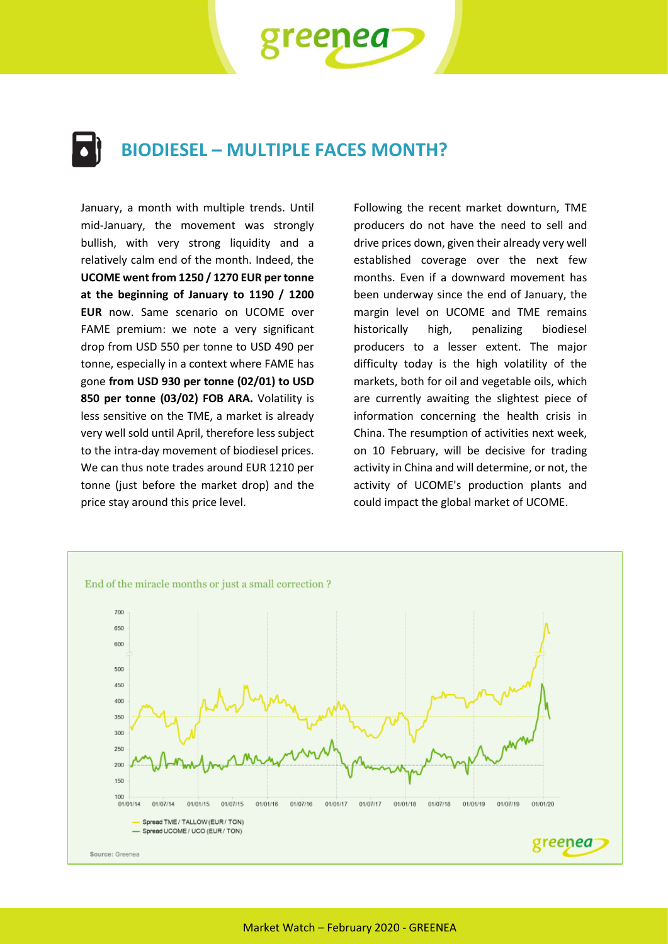**BIODIESEL – MULTIPLE FACES MONTH?**

?nea

January, a month with multiple trends. Until mid-January, the movement was strongly bullish, with very strong liquidity and a relatively calm end of the month. Indeed, the **UCOME went from 1250 / 1270 EUR per tonne at the beginning of January to 1190 / 1200 EUR** now. Same scenario on UCOME over FAME premium: we note a very significant drop from USD 550 per tonne to USD 490 per tonne, especially in a context where FAME has gone **from USD 930 per tonne (02/01) to USD 850 per tonne (03/02) FOB ARA.** Volatility is less sensitive on the TME, a market is already very well sold until April, therefore less subject to the intra-day movement of biodiesel prices. We can thus note trades around EUR 1210 per tonne (just before the market drop) and the price stay around this price level.

Following the recent market downturn, TME producers do not have the need to sell and drive prices down, given their already very well established coverage over the next few months. Even if a downward movement has been underway since the end of January, the margin level on UCOME and TME remains historically high, penalizing biodiesel producers to a lesser extent. The major difficulty today is the high volatility of the markets, both for oil and vegetable oils, which are currently awaiting the slightest piece of information concerning the health crisis in China. The resumption of activities next week, on 10 February, will be decisive for trading activity in China and will determine, or not, the activity of UCOME's production plants and could impact the global market of UCOME.

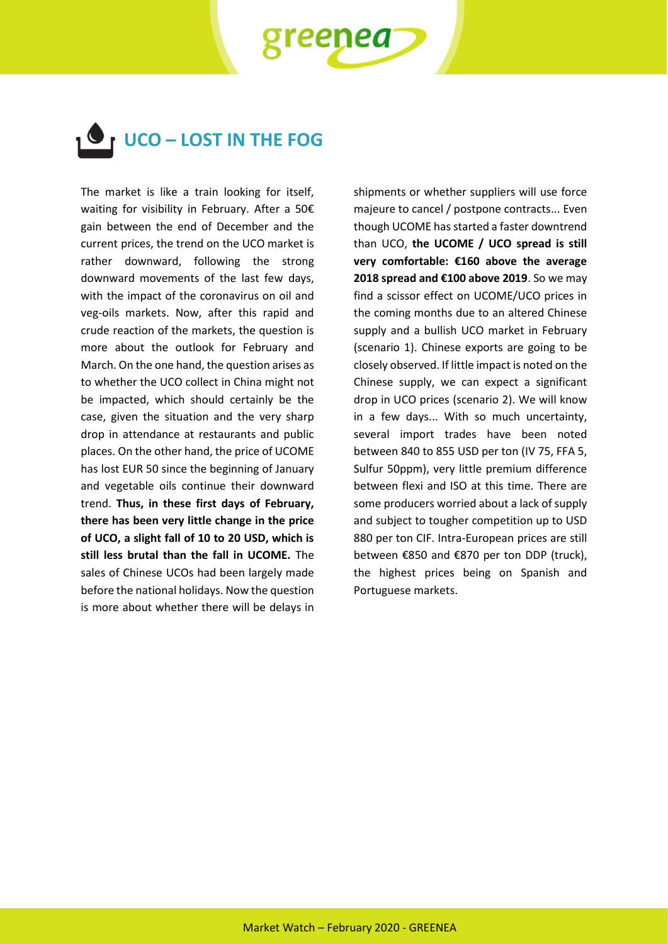**UCO – LOST IN THE FOG**

eenea

The market is like a train looking for itself, waiting for visibility in February. After a 50€ gain between the end of December and the current prices, the trend on the UCO market is rather downward, following the strong downward movements of the last few days, with the impact of the coronavirus on oil and veg-oils markets. Now, after this rapid and crude reaction of the markets, the question is more about the outlook for February and March. On the one hand, the question arises as to whether the UCO collect in China might not be impacted, which should certainly be the case, given the situation and the very sharp drop in attendance at restaurants and public places. On the other hand, the price of UCOME has lost EUR 50 since the beginning of January and vegetable oils continue their downward trend. **Thus, in these first days of February, there has been very little change in the price of UCO, a slight fall of 10 to 20 USD, which is still less brutal than the fall in UCOME.** The sales of Chinese UCOs had been largely made before the national holidays. Now the question is more about whether there will be delays in

shipments or whether suppliers will use force majeure to cancel / postpone contracts... Even though UCOME has started a faster downtrend than UCO, **the UCOME / UCO spread is still very comfortable: €160 above the average 2018 spread and €100 above 2019**. So we may find a scissor effect on UCOME/UCO prices in the coming months due to an altered Chinese supply and a bullish UCO market in February (scenario 1). Chinese exports are going to be closely observed. If little impact is noted on the Chinese supply, we can expect a significant drop in UCO prices (scenario 2). We will know in a few days... With so much uncertainty, several import trades have been noted between 840 to 855 USD per ton (IV 75, FFA 5, Sulfur 50ppm), very little premium difference between flexi and ISO at this time. There are some producers worried about a lack of supply and subject to tougher competition up to USD 880 per ton CIF. Intra-European prices are still between €850 and €870 per ton DDP (truck), the highest prices being on Spanish and Portuguese markets.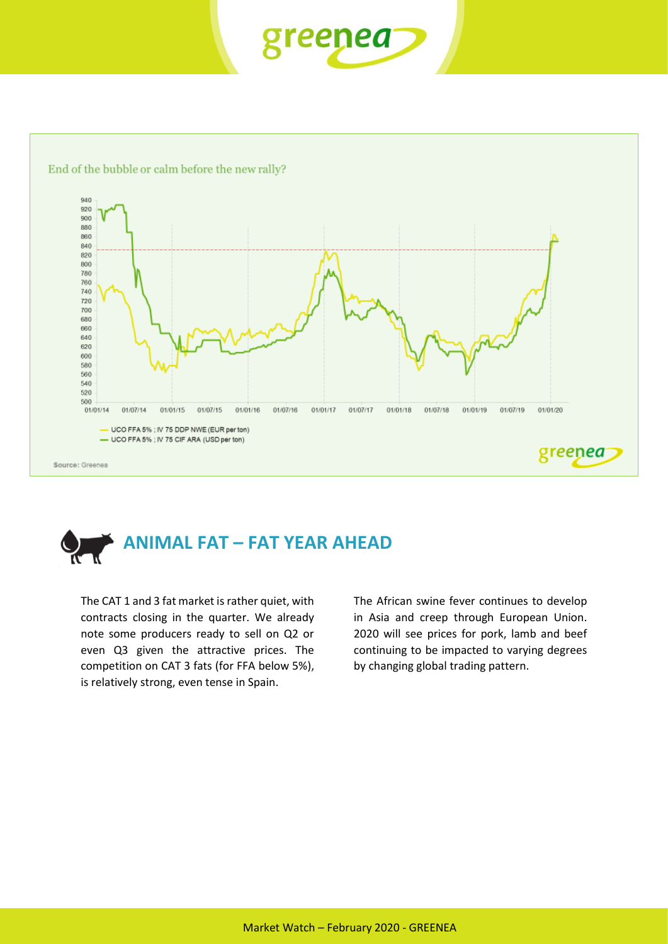





The CAT 1 and 3 fat market is rather quiet, with contracts closing in the quarter. We already note some producers ready to sell on Q2 or even Q3 given the attractive prices. The competition on CAT 3 fats (for FFA below 5%), is relatively strong, even tense in Spain.

The African swine fever continues to develop in Asia and creep through European Union. 2020 will see prices for pork, lamb and beef continuing to be impacted to varying degrees by changing global trading pattern.